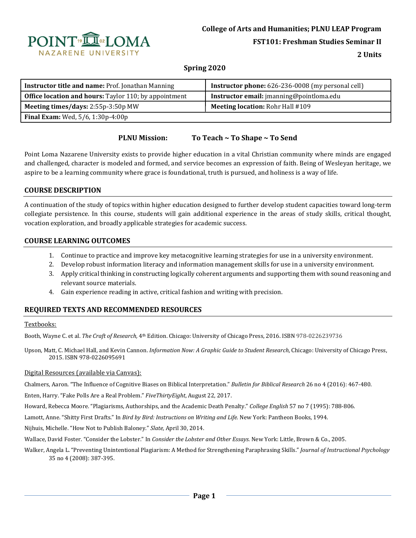

**FST101: Freshman Studies Seminar II**

**2 Units**

# **Spring 2020**

| <b>Instructor title and name: Prof. Jonathan Manning</b>     | <b>Instructor phone:</b> 626-236-0008 (my personal cell) |  |
|--------------------------------------------------------------|----------------------------------------------------------|--|
| <b>Office location and hours:</b> Taylor 110; by appointment | Instructor email: jmanning@pointloma.edu                 |  |
| Meeting times/days: 2:55p-3:50p MW                           | <b>Meeting location: Rohr Hall #109</b>                  |  |
| <b>Final Exam:</b> Wed, 5/6, 1:30p-4:00p                     |                                                          |  |

### **PLNU Mission: To Teach ~ To Shape ~ To Send**

Point Loma Nazarene University exists to provide higher education in a vital Christian community where minds are engaged and challenged, character is modeled and formed, and service becomes an expression of faith. Being of Wesleyan heritage, we aspire to be a learning community where grace is foundational, truth is pursued, and holiness is a way of life.

### **COURSE DESCRIPTION**

A continuation of the study of topics within higher education designed to further develop student capacities toward long-term collegiate persistence. In this course, students will gain additional experience in the areas of study skills, critical thought, vocation exploration, and broadly applicable strategies for academic success.

# **COURSE LEARNING OUTCOMES**

- 1. Continue to practice and improve key metacognitive learning strategies for use in a university environment.
- 2. Develop robust information literacy and information management skills for use in a university environment.
- 3. Apply critical thinking in constructing logically coherent arguments and supporting them with sound reasoning and relevant source materials.
- 4. Gain experience reading in active, critical fashion and writing with precision.

# **REQUIRED TEXTS AND RECOMMENDED RESOURCES**

#### Textbooks:

Booth, Wayne C. et al. *The Craft of Research,* 4th Edition. Chicago: University of Chicago Press, 2016. ISBN 978-0226239736

Upson, Matt, C. Michael Hall, and Kevin Cannon. *Information Now: A Graphic Guide to Student Research*, Chicago: University of Chicago Press, 2015. ISBN 978-0226095691

#### Digital Resources (available via Canvas):

Chalmers, Aaron. "The Influence of Cognitive Biases on Biblical Interpretation." *Bulletin for Biblical Research* 26 no 4 (2016): 467-480.

Enten, Harry. "Fake Polls Are a Real Problem." *FiveThirtyEight*, August 22, 2017.

Howard, Rebecca Moore. "Plagiarisms, Authorships, and the Academic Death Penalty." *College English* 57 no 7 (1995): 788-806.

Lamott, Anne. "Shitty First Drafts." In *Bird by Bird: Instructions on Writing and Life.* New York: Pantheon Books, 1994.

Nijhuis, Michelle. "How Not to Publish Baloney." *Slate,* April 30, 2014.

Wallace, David Foster. "Consider the Lobster." In *Consider the Lobster and Other Essays.* New York: Little, Brown & Co., 2005.

Walker, Angela L. "Preventing Unintentional Plagiarism: A Method for Strengthening Paraphrasing Skills." *Journal of Instructional Psychology* 35 no 4 (2008): 387-395.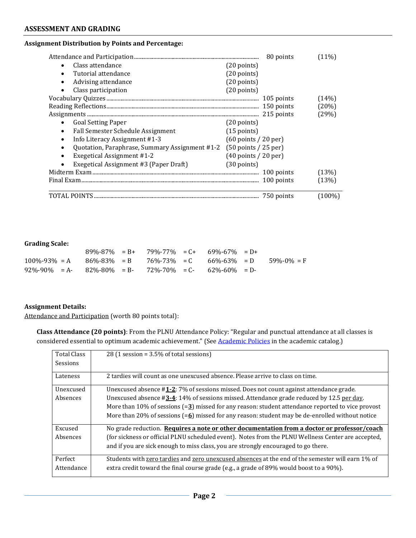#### **Assignment Distribution by Points and Percentage:**

|                                                                          | 80 points                              | (11%)  |
|--------------------------------------------------------------------------|----------------------------------------|--------|
| Class attendance                                                         | $(20 \text{ points})$                  |        |
| Tutorial attendance<br>$\bullet$                                         | $(20$ points)                          |        |
| Advising attendance<br>$\bullet$                                         | $(20$ points)                          |        |
| Class participation                                                      | $(20$ points)                          |        |
|                                                                          | 105 points                             | (14%)  |
|                                                                          | 150 points                             | (20%)  |
|                                                                          | 215 points                             | (29%)  |
| <b>Goal Setting Paper</b>                                                | $(20$ points)                          |        |
| Fall Semester Schedule Assignment<br>$\bullet$                           | $(15$ points)                          |        |
| Info Literacy Assignment #1-3<br>$\bullet$                               | $(60 \text{ points} / 20 \text{ per})$ |        |
| Quotation, Paraphrase, Summary Assignment #1-2 (50 points / 25 per)<br>٠ |                                        |        |
| <b>Exegetical Assignment #1-2</b><br>$\bullet$                           | $(40$ points $/ 20$ per)               |        |
| Exegetical Assignment #3 (Paper Draft)                                   | $(30$ points)                          |        |
|                                                                          | 100 points                             | (13%)  |
|                                                                          | 100 points                             | (13%)  |
|                                                                          | 750 points                             | (100%) |

#### **Grading Scale:**

|                                                                                           |  |  | $89\% - 87\% = B + 79\% - 77\% = C + 69\% - 67\% = D +$ |  |
|-------------------------------------------------------------------------------------------|--|--|---------------------------------------------------------|--|
| $100\% - 93\% = A$ $86\% - 83\% = B$ $76\% - 73\% = C$ $66\% - 63\% = D$ $59\% - 0\% = F$ |  |  |                                                         |  |
| $92\% - 90\% = A - 82\% - 80\% = B - 72\% - 70\% = C - 62\% - 60\% = D -$                 |  |  |                                                         |  |

### **Assignment Details:**

Attendance and Participation (worth 80 points total):

**Class Attendance (20 points)**: From the PLNU Attendance Policy: "Regular and punctual attendance at all classes is considered essential to optimum academic achievement." (See Academic Policies in the academic catalog.)

| <b>Total Class</b><br><b>Sessions</b> | $28$ (1 session = 3.5% of total sessions)                                                                                                                                                                                                                                                                                                                                                                             |
|---------------------------------------|-----------------------------------------------------------------------------------------------------------------------------------------------------------------------------------------------------------------------------------------------------------------------------------------------------------------------------------------------------------------------------------------------------------------------|
| Lateness                              | 2 tardies will count as one unexcused absence. Please arrive to class on time.                                                                                                                                                                                                                                                                                                                                        |
| Unexcused<br>Absences                 | Unexcused absence #1-2: 7% of sessions missed. Does not count against attendance grade.<br>Unexcused absence $\#3-4$ : 14% of sessions missed. Attendance grade reduced by 12.5 per day.<br>More than $10\%$ of sessions (= $3$ ) missed for any reason: student attendance reported to vice provost<br>More than 20% of sessions $(=\underline{6})$ missed for any reason: student may be de-enrolled without notice |
| Excused<br>Absences                   | No grade reduction. Requires a note or other documentation from a doctor or professor/coach<br>(for sickness or official PLNU scheduled event). Notes from the PLNU Wellness Center are accepted,<br>and if you are sick enough to miss class, you are strongly encouraged to go there.                                                                                                                               |
| Perfect<br>Attendance                 | Students with zero tardies and zero unexcused absences at the end of the semester will earn 1% of<br>extra credit toward the final course grade (e.g., a grade of 89% would boost to a 90%).                                                                                                                                                                                                                          |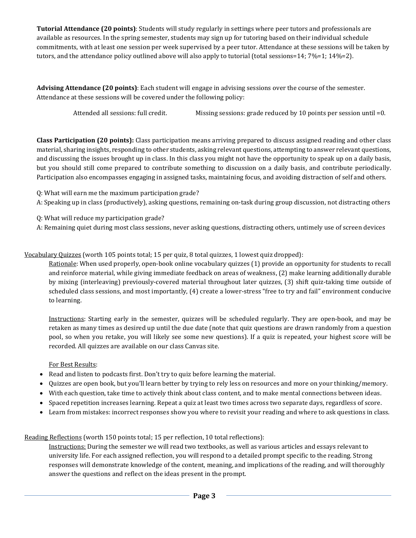**Tutorial Attendance (20 points)**: Students will study regularly in settings where peer tutors and professionals are available as resources. In the spring semester, students may sign up for tutoring based on their individual schedule commitments, with at least one session per week supervised by a peer tutor. Attendance at these sessions will be taken by tutors, and the attendance policy outlined above will also apply to tutorial (total sessions=14; 7%=1; 14%=2).

**Advising Attendance (20 points)**: Each student will engage in advising sessions over the course of the semester. Attendance at these sessions will be covered under the following policy:

Attended all sessions: full credit. Missing sessions: grade reduced by 10 points per session until =0.

**Class Participation (20 points):** Class participation means arriving prepared to discuss assigned reading and other class material, sharing insights, responding to other students, asking relevant questions, attempting to answer relevant questions, and discussing the issues brought up in class. In this class you might not have the opportunity to speak up on a daily basis, but you should still come prepared to contribute something to discussion on a daily basis, and contribute periodically. Participation also encompasses engaging in assigned tasks, maintaining focus, and avoiding distraction of self and others.

Q: What will earn me the maximum participation grade?

A: Speaking up in class (productively), asking questions, remaining on-task during group discussion, not distracting others

Q: What will reduce my participation grade?

A: Remaining quiet during most class sessions, never asking questions, distracting others, untimely use of screen devices

Vocabulary Quizzes (worth 105 points total; 15 per quiz, 8 total quizzes, 1 lowest quiz dropped):

Rationale: When used properly, open-book online vocabulary quizzes (1) provide an opportunity for students to recall and reinforce material, while giving immediate feedback on areas of weakness, (2) make learning additionally durable by mixing (interleaving) previously-covered material throughout later quizzes, (3) shift quiz-taking time outside of scheduled class sessions, and most importantly, (4) create a lower-stress "free to try and fail" environment conducive to learning.

Instructions: Starting early in the semester, quizzes will be scheduled regularly. They are open-book, and may be retaken as many times as desired up until the due date (note that quiz questions are drawn randomly from a question pool, so when you retake, you will likely see some new questions). If a quiz is repeated, your highest score will be recorded. All quizzes are available on our class Canvas site.

#### For Best Results:

- Read and listen to podcasts first. Don't try to quiz before learning the material.
- Quizzes are open book, but you'll learn better by trying to rely less on resources and more on your thinking/memory.
- With each question, take time to actively think about class content, and to make mental connections between ideas.
- Spaced repetition increases learning. Repeat a quiz at least two times across two separate days, regardless of score.
- Learn from mistakes: incorrect responses show you where to revisit your reading and where to ask questions in class.

Reading Reflections (worth 150 points total; 15 per reflection, 10 total reflections):

Instructions: During the semester we will read two textbooks, as well as various articles and essays relevant to university life. For each assigned reflection, you will respond to a detailed prompt specific to the reading. Strong responses will demonstrate knowledge of the content, meaning, and implications of the reading, and will thoroughly answer the questions and reflect on the ideas present in the prompt.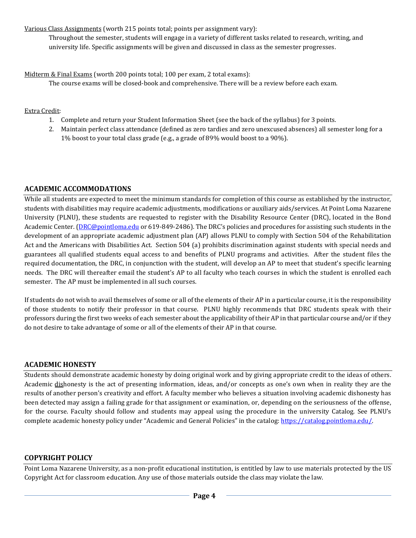Various Class Assignments (worth 215 points total; points per assignment vary):

Throughout the semester, students will engage in a variety of different tasks related to research, writing, and university life. Specific assignments will be given and discussed in class as the semester progresses.

Midterm & Final Exams (worth 200 points total; 100 per exam, 2 total exams):

The course exams will be closed-book and comprehensive. There will be a review before each exam.

### Extra Credit:

- 1. Complete and return your Student Information Sheet (see the back of the syllabus) for 3 points.
- 2. Maintain perfect class attendance (defined as zero tardies and zero unexcused absences) all semester long for a 1% boost to your total class grade (e.g., a grade of 89% would boost to a 90%).

# **ACADEMIC ACCOMMODATIONS**

While all students are expected to meet the minimum standards for completion of this course as established by the instructor, students with disabilities may require academic adjustments, modifications or auxiliary aids/services. At Point Loma Nazarene University (PLNU), these students are requested to register with the Disability Resource Center (DRC), located in the Bond Academic Center. (DRC@pointloma.edu or 619-849-2486). The DRC's policies and procedures for assisting such students in the development of an appropriate academic adjustment plan (AP) allows PLNU to comply with Section 504 of the Rehabilitation Act and the Americans with Disabilities Act. Section 504 (a) prohibits discrimination against students with special needs and guarantees all qualified students equal access to and benefits of PLNU programs and activities. After the student files the required documentation, the DRC, in conjunction with the student, will develop an AP to meet that student's specific learning needs. The DRC will thereafter email the student's AP to all faculty who teach courses in which the student is enrolled each semester. The AP must be implemented in all such courses.

If students do not wish to avail themselves of some or all of the elements of their AP in a particular course, it is the responsibility of those students to notify their professor in that course. PLNU highly recommends that DRC students speak with their professors during the first two weeks of each semester about the applicability of their AP in that particular course and/or if they do not desire to take advantage of some or all of the elements of their AP in that course.

# **ACADEMIC HONESTY**

Students should demonstrate academic honesty by doing original work and by giving appropriate credit to the ideas of others. Academic dishonesty is the act of presenting information, ideas, and/or concepts as one's own when in reality they are the results of another person's creativity and effort. A faculty member who believes a situation involving academic dishonesty has been detected may assign a failing grade for that assignment or examination, or, depending on the seriousness of the offense, for the course. Faculty should follow and students may appeal using the procedure in the university Catalog. See PLNU's complete academic honesty policy under "Academic and General Policies" in the catalog: https://catalog.pointloma.edu/.

# **COPYRIGHT POLICY**

Point Loma Nazarene University, as a non-profit educational institution, is entitled by law to use materials protected by the US Copyright Act for classroom education. Any use of those materials outside the class may violate the law.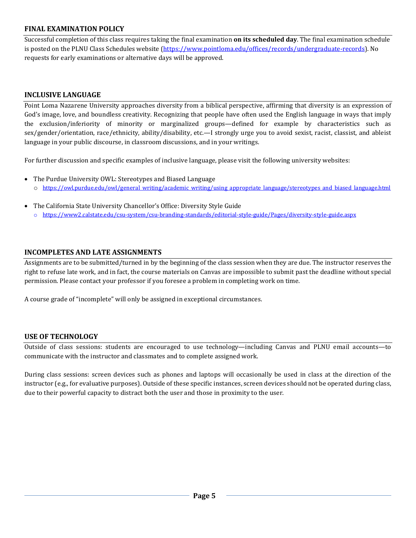# **FINAL EXAMINATION POLICY**

Successful completion of this class requires taking the final examination **on its scheduled day**. The final examination schedule is posted on the PLNU Class Schedules website (https://www.pointloma.edu/offices/records/undergraduate-records). No requests for early examinations or alternative days will be approved.

# **INCLUSIVE LANGUAGE**

Point Loma Nazarene University approaches diversity from a biblical perspective, affirming that diversity is an expression of God's image, love, and boundless creativity. Recognizing that people have often used the English language in ways that imply the exclusion/inferiority of minority or marginalized groups—defined for example by characteristics such as sex/gender/orientation, race/ethnicity, ability/disability, etc.—I strongly urge you to avoid sexist, racist, classist, and ableist language in your public discourse, in classroom discussions, and in your writings.

For further discussion and specific examples of inclusive language, please visit the following university websites:

- The Purdue University OWL: Stereotypes and Biased Language o https://owl.purdue.edu/owl/general\_writing/academic\_writing/using\_appropriate\_language/stereotypes\_and\_biased\_language.html
- The California State University Chancellor's Office: Diversity Style Guide o https://www2.calstate.edu/csu-system/csu-branding-standards/editorial-style-guide/Pages/diversity-style-guide.aspx

# **INCOMPLETES AND LATE ASSIGNMENTS**

Assignments are to be submitted/turned in by the beginning of the class session when they are due. The instructor reserves the right to refuse late work, and in fact, the course materials on Canvas are impossible to submit past the deadline without special permission. Please contact your professor if you foresee a problem in completing work on time.

A course grade of "incomplete" will only be assigned in exceptional circumstances.

# **USE OF TECHNOLOGY**

Outside of class sessions: students are encouraged to use technology—including Canvas and PLNU email accounts—to communicate with the instructor and classmates and to complete assigned work.

During class sessions: screen devices such as phones and laptops will occasionally be used in class at the direction of the instructor (e.g., for evaluative purposes). Outside of these specific instances, screen devices should not be operated during class, due to their powerful capacity to distract both the user and those in proximity to the user.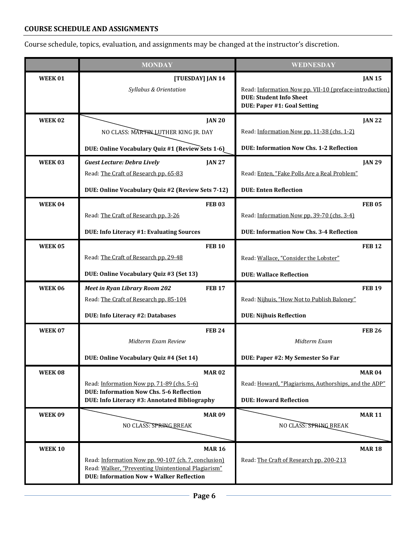# **COURSE SCHEDULE AND ASSIGNMENTS**

Course schedule, topics, evaluation, and assignments may be changed at the instructor's discretion.

|                | <b>MONDAY</b>                                                                                                                                                                   | WEDNESDAY                                                                                                                                 |
|----------------|---------------------------------------------------------------------------------------------------------------------------------------------------------------------------------|-------------------------------------------------------------------------------------------------------------------------------------------|
| <b>WEEK01</b>  | [TUESDAY] JAN 14<br>Syllabus & Orientation                                                                                                                                      | <b>JAN 15</b><br>Read: Information Now pp. VII-10 (preface-introduction)<br><b>DUE: Student Info Sheet</b><br>DUE: Paper #1: Goal Setting |
| <b>WEEK02</b>  | <b>JAN 20</b><br>NO CLASS: MARTIN LUTHER KING JR. DAY<br>DUE: Online Vocabulary Quiz #1 (Review Sets 1-6)                                                                       | <b>JAN 22</b><br>Read: Information Now pp. 11-38 (chs. 1-2)<br><b>DUE: Information Now Chs. 1-2 Reflection</b>                            |
| WEEK03         | <b>Guest Lecture: Debra Lively</b><br><b>JAN 27</b><br>Read: The Craft of Research pp. 65-83<br>DUE: Online Vocabulary Quiz #2 (Review Sets 7-12)                               | <b>JAN 29</b><br>Read: Enten, "Fake Polls Are a Real Problem"<br><b>DUE: Enten Reflection</b>                                             |
| WEEK 04        | <b>FEB03</b><br>Read: The Craft of Research pp. 3-26<br>DUE: Info Literacy #1: Evaluating Sources                                                                               | <b>FEB 05</b><br>Read: Information Now pp. 39-70 (chs. 3-4)<br><b>DUE: Information Now Chs. 3-4 Reflection</b>                            |
| <b>WEEK05</b>  | <b>FEB 10</b><br>Read: The Craft of Research pp. 29-48<br>DUE: Online Vocabulary Quiz #3 (Set 13)                                                                               | <b>FEB 12</b><br>Read: Wallace, "Consider the Lobster"<br><b>DUE: Wallace Reflection</b>                                                  |
| <b>WEEK06</b>  | <b>FEB 17</b><br><b>Meet in Ryan Library Room 202</b><br>Read: The Craft of Research pp. 85-104<br>DUE: Info Literacy #2: Databases                                             | <b>FEB 19</b><br>Read: Nijhuis, "How Not to Publish Baloney"<br><b>DUE: Nijhuis Reflection</b>                                            |
| <b>WEEK07</b>  | <b>FEB 24</b><br>Midterm Exam Review<br>DUE: Online Vocabulary Quiz #4 (Set 14)                                                                                                 | <b>FEB 26</b><br>Midterm Exam<br>DUE: Paper #2: My Semester So Far                                                                        |
| <b>WEEK08</b>  | <b>MAR02</b><br>Read: Information Now pp. 71-89 (chs. 5-6)<br><b>DUE: Information Now Chs. 5-6 Reflection</b><br>DUE: Info Literacy #3: Annotated Bibliography                  | <b>MAR 04</b><br>Read: Howard, "Plagiarisms, Authorships, and the ADP"<br><b>DUE: Howard Reflection</b>                                   |
| <b>WEEK09</b>  | <b>MAR09</b><br>NO CLASS: SPRING BREAK                                                                                                                                          | <b>MAR 11</b><br>NO CLASS: SPRING BREAK                                                                                                   |
| <b>WEEK 10</b> | <b>MAR 16</b><br>Read: Information Now pp. 90-107 (ch. 7, conclusion)<br>Read: Walker, "Preventing Unintentional Plagiarism"<br><b>DUE: Information Now + Walker Reflection</b> | <b>MAR 18</b><br>Read: The Craft of Research pp. 200-213                                                                                  |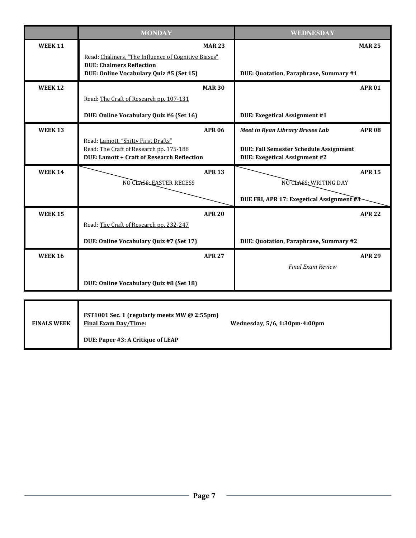|                | <b>MONDAY</b>                                                                                                                       | <b>WEDNESDAY</b>                                                               |
|----------------|-------------------------------------------------------------------------------------------------------------------------------------|--------------------------------------------------------------------------------|
| <b>WEEK 11</b> | <b>MAR 23</b>                                                                                                                       | <b>MAR 25</b>                                                                  |
|                | Read: Chalmers, "The Influence of Cognitive Biases"<br><b>DUE: Chalmers Reflection</b><br>DUE: Online Vocabulary Quiz #5 (Set 15)   | DUE: Quotation, Paraphrase, Summary #1                                         |
| <b>WEEK 12</b> | <b>MAR 30</b>                                                                                                                       | <b>APR 01</b>                                                                  |
|                | Read: The Craft of Research pp. 107-131                                                                                             |                                                                                |
|                | DUE: Online Vocabulary Quiz #6 (Set 16)                                                                                             | DUE: Exegetical Assignment #1                                                  |
| <b>WEEK 13</b> | <b>APR 06</b>                                                                                                                       | <b>Meet in Ryan Library Bresee Lab</b><br><b>APR 08</b>                        |
|                | Read: Lamott, "Shitty First Drafts"<br>Read: The Craft of Research pp. 175-188<br><b>DUE: Lamott + Craft of Research Reflection</b> | DUE: Fall Semester Schedule Assignment<br><b>DUE: Exegetical Assignment #2</b> |
| <b>WEEK 14</b> | <b>APR 13</b><br>NO CLASS: EASTER RECESS                                                                                            | <b>APR 15</b><br>NO CLASS: WRITING DAY                                         |
|                |                                                                                                                                     | DUE FRI, APR 17: Exegetical Assignment #3                                      |
| <b>WEEK 15</b> | <b>APR 20</b>                                                                                                                       | <b>APR 22</b>                                                                  |
|                | Read: The Craft of Research pp. 232-247                                                                                             |                                                                                |
|                | DUE: Online Vocabulary Quiz #7 (Set 17)                                                                                             | DUE: Quotation, Paraphrase, Summary #2                                         |
| <b>WEEK 16</b> | <b>APR 27</b>                                                                                                                       | <b>APR 29</b>                                                                  |
|                |                                                                                                                                     | <b>Final Exam Review</b>                                                       |
|                | DUE: Online Vocabulary Quiz #8 (Set 18)                                                                                             |                                                                                |
|                |                                                                                                                                     |                                                                                |

| <b>FINALS WEEK</b> | FST1001 Sec. 1 (regularly meets MW @ 2:55pm)<br>Final Exam Day/Time: | Wednesday, 5/6, 1:30pm-4:00pm |
|--------------------|----------------------------------------------------------------------|-------------------------------|
|                    | DUE: Paper #3: A Critique of LEAP                                    |                               |